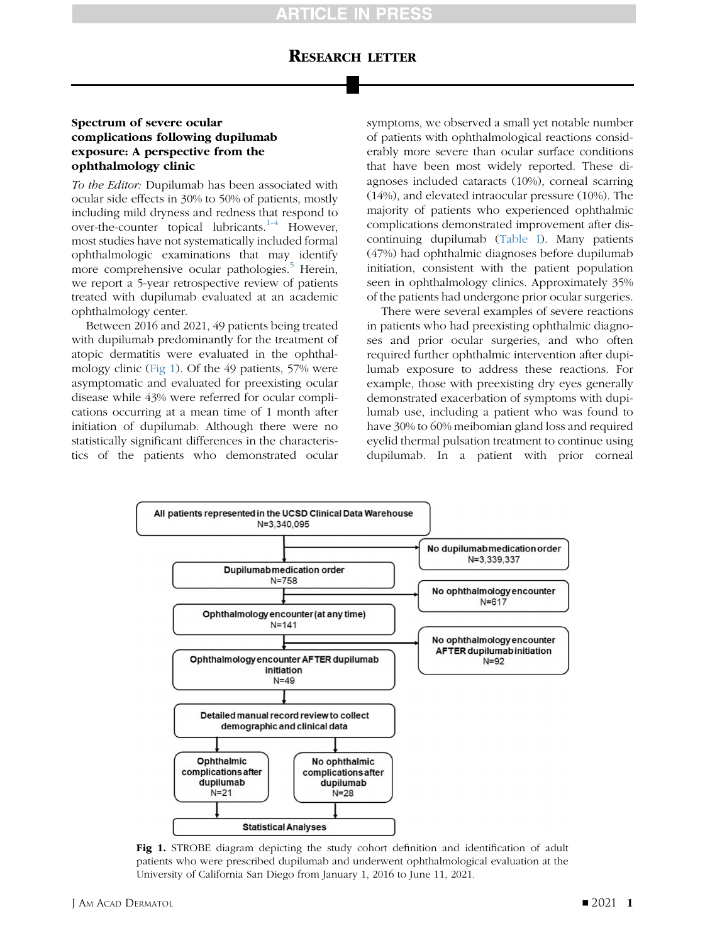# RESEARCH LETTER

### Spectrum of severe ocular complications following dupilumab exposure: A perspective from the ophthalmology clinic

To the Editor: Dupilumab has been associated with ocular side effects in 30% to 50% of patients, mostly including mild dryness and redness that respond to over-the-counter topical lubricants. $1-4$  However, most studies have not systematically included formal ophthalmologic examinations that may identify more comprehensive ocular pathologies.<sup>[5](#page-2-1)</sup> Herein, we report a 5-year retrospective review of patients treated with dupilumab evaluated at an academic ophthalmology center.

Between 2016 and 2021, 49 patients being treated with dupilumab predominantly for the treatment of atopic dermatitis were evaluated in the ophthalmology clinic [\(Fig 1\)](#page-0-0). Of the 49 patients, 57% were asymptomatic and evaluated for preexisting ocular disease while 43% were referred for ocular complications occurring at a mean time of 1 month after initiation of dupilumab. Although there were no statistically significant differences in the characteristics of the patients who demonstrated ocular

symptoms, we observed a small yet notable number of patients with ophthalmological reactions considerably more severe than ocular surface conditions that have been most widely reported. These diagnoses included cataracts (10%), corneal scarring (14%), and elevated intraocular pressure (10%). The majority of patients who experienced ophthalmic complications demonstrated improvement after discontinuing dupilumab ([Table I](#page-1-0)). Many patients (47%) had ophthalmic diagnoses before dupilumab initiation, consistent with the patient population seen in ophthalmology clinics. Approximately 35% of the patients had undergone prior ocular surgeries.

There were several examples of severe reactions in patients who had preexisting ophthalmic diagnoses and prior ocular surgeries, and who often required further ophthalmic intervention after dupilumab exposure to address these reactions. For example, those with preexisting dry eyes generally demonstrated exacerbation of symptoms with dupilumab use, including a patient who was found to have 30% to 60% meibomian gland loss and required eyelid thermal pulsation treatment to continue using dupilumab. In a patient with prior corneal

<span id="page-0-0"></span>

Fig 1. STROBE diagram depicting the study cohort definition and identification of adult patients who were prescribed dupilumab and underwent ophthalmological evaluation at the University of California San Diego from January 1, 2016 to June 11, 2021.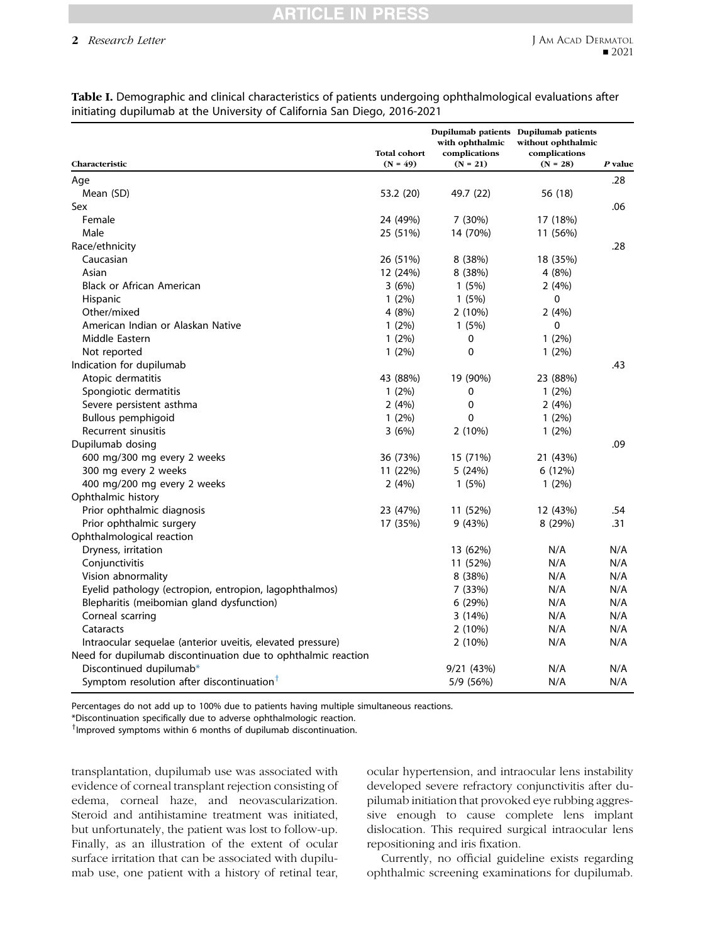# CLE IN

### 2 Research Letter

| Characteristic                                                | <b>Total cohort</b><br>$(N = 49)$ | with ophthalmic<br>complications<br>$(N = 21)$ | Dupilumab patients Dupilumab patients<br>without ophthalmic<br>complications<br>$(N = 28)$ | P value |
|---------------------------------------------------------------|-----------------------------------|------------------------------------------------|--------------------------------------------------------------------------------------------|---------|
| Age                                                           |                                   |                                                |                                                                                            | .28     |
| Mean (SD)                                                     | 53.2 (20)                         | 49.7 (22)                                      | 56 (18)                                                                                    |         |
| Sex                                                           |                                   |                                                |                                                                                            | .06     |
| Female                                                        | 24 (49%)                          | 7(30%)                                         | 17 (18%)                                                                                   |         |
| Male                                                          | 25 (51%)                          | 14 (70%)                                       | 11 (56%)                                                                                   |         |
| Race/ethnicity                                                |                                   |                                                |                                                                                            | .28     |
| Caucasian                                                     | 26 (51%)                          | 8(38%)                                         | 18 (35%)                                                                                   |         |
| Asian                                                         | 12 (24%)                          | 8(38%)                                         | 4 (8%)                                                                                     |         |
| <b>Black or African American</b>                              | 3(6%)                             | 1(5%)                                          | 2(4%)                                                                                      |         |
| Hispanic                                                      | $1(2\%)$                          | 1(5%)                                          | 0                                                                                          |         |
| Other/mixed                                                   | 4(8%)                             | $2(10\%)$                                      | 2(4%)                                                                                      |         |
| American Indian or Alaskan Native                             | $1(2\%)$                          | 1(5%)                                          | 0                                                                                          |         |
| Middle Eastern                                                | $1(2\%)$                          | 0                                              | $1(2\%)$                                                                                   |         |
| Not reported                                                  | $1(2\%)$                          | 0                                              | $1(2\%)$                                                                                   |         |
| Indication for dupilumab                                      |                                   |                                                |                                                                                            | .43     |
| Atopic dermatitis                                             | 43 (88%)                          | 19 (90%)                                       | 23 (88%)                                                                                   |         |
| Spongiotic dermatitis                                         | 1(2%)                             | 0                                              | 1(2%)                                                                                      |         |
| Severe persistent asthma                                      | 2(4%)                             | 0                                              | 2(4%)                                                                                      |         |
| Bullous pemphigoid                                            | $1(2\%)$                          | 0                                              | $1(2\%)$                                                                                   |         |
| Recurrent sinusitis                                           | 3(6%)                             | 2(10%)                                         | 1(2%)                                                                                      |         |
| Dupilumab dosing                                              |                                   |                                                |                                                                                            | .09     |
| 600 mg/300 mg every 2 weeks                                   | 36 (73%)                          | 15 (71%)                                       | 21 (43%)                                                                                   |         |
| 300 mg every 2 weeks                                          | 11 (22%)                          | 5(24%)                                         | 6(12%)                                                                                     |         |
| 400 mg/200 mg every 2 weeks                                   | 2(4%)                             | 1(5%)                                          | $1(2\%)$                                                                                   |         |
| Ophthalmic history                                            |                                   |                                                |                                                                                            |         |
| Prior ophthalmic diagnosis                                    | 23 (47%)                          | 11 (52%)                                       | 12 (43%)                                                                                   | .54     |
| Prior ophthalmic surgery                                      | 17 (35%)                          | 9 (43%)                                        | 8 (29%)                                                                                    | .31     |
| Ophthalmological reaction                                     |                                   |                                                |                                                                                            |         |
| Dryness, irritation                                           |                                   | 13 (62%)                                       | N/A                                                                                        | N/A     |
| Conjunctivitis                                                |                                   | 11 (52%)                                       | N/A                                                                                        | N/A     |
| Vision abnormality                                            |                                   | 8(38%)                                         | N/A                                                                                        | N/A     |
| Eyelid pathology (ectropion, entropion, lagophthalmos)        |                                   | 7 (33%)                                        | N/A                                                                                        | N/A     |
| Blepharitis (meibomian gland dysfunction)                     |                                   | 6(29%)                                         | N/A                                                                                        | N/A     |
| Corneal scarring                                              |                                   | 3(14%)                                         | N/A                                                                                        | N/A     |
| Cataracts                                                     |                                   | 2(10%)                                         | N/A                                                                                        | N/A     |
| Intraocular sequelae (anterior uveitis, elevated pressure)    |                                   | 2 (10%)                                        | N/A                                                                                        | N/A     |
| Need for dupilumab discontinuation due to ophthalmic reaction |                                   |                                                |                                                                                            |         |
| Discontinued dupilumab*                                       |                                   | 9/21 (43%)                                     | N/A                                                                                        | N/A     |
| Symptom resolution after discontinuation <sup>†</sup>         |                                   | 5/9 (56%)                                      | N/A                                                                                        | N/A     |

<span id="page-1-0"></span>Table I. Demographic and clinical characteristics of patients undergoing ophthalmological evaluations after initiating dupilumab at the University of California San Diego, 2016-2021

Percentages do not add up to 100% due to patients having multiple simultaneous reactions.

\*Discontinuation specifically due to adverse ophthalmologic reaction.

<sup>†</sup> Improved symptoms within 6 months of dupilumab discontinuation.

transplantation, dupilumab use was associated with evidence of corneal transplant rejection consisting of edema, corneal haze, and neovascularization. Steroid and antihistamine treatment was initiated, but unfortunately, the patient was lost to follow-up. Finally, as an illustration of the extent of ocular surface irritation that can be associated with dupilumab use, one patient with a history of retinal tear,

ocular hypertension, and intraocular lens instability developed severe refractory conjunctivitis after dupilumab initiation that provoked eye rubbing aggressive enough to cause complete lens implant dislocation. This required surgical intraocular lens repositioning and iris fixation.

Currently, no official guideline exists regarding ophthalmic screening examinations for dupilumab.